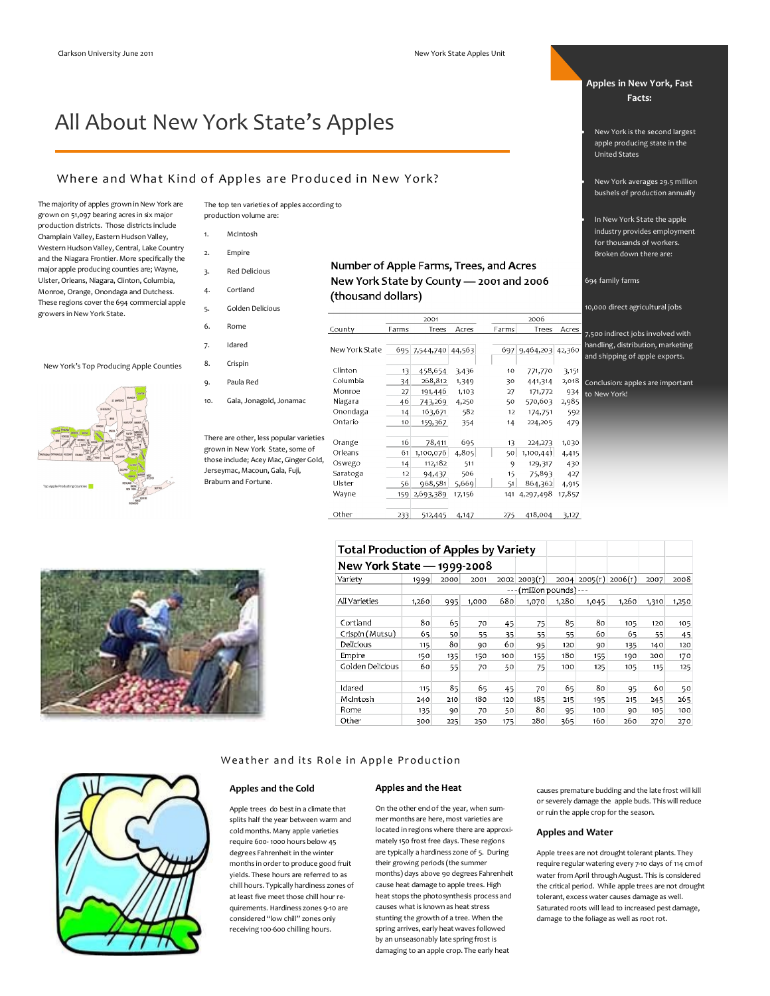# All About New York State's Apples

# Where and What Kind of Apples are Produced in New York?

The majority of apples grown in New York are grown on 51,097 bearing acres in six major production districts. Those districts include Champlain Valley, Eastern Hudson Valley, Western Hudson Valley, Central, Lake Country and the Niagara Frontier. More specifically the major apple producing counties are; Wayne, Ulster, Orleans, Niagara, Clinton, Columbia, Monroe, Orange, Onondaga and Dutchess. These regions cover the 694 commercial apple growers in New York State.

New York's Top Producing Apple Counties





- 1. McIntosh
- 2. Empire
- 3. Red Delicious
- 
- 4. Cortland
- 5. Golden Delicious
- 6. Rome

8. Crispin

10.  $Gala, Jo$ 

7. Idared

9. Paula R

There are other grown in New those include: Jerseymac, Ma Braburn and F



| New York State by County - 2001 and 2006 |  |
|------------------------------------------|--|
| (thousand dollars)                       |  |

Number of Apple Farms, Trees, and Acres

|                           | County         | Farms | Trees                | Acres  | Farms | Trees                | Acres  |
|---------------------------|----------------|-------|----------------------|--------|-------|----------------------|--------|
|                           |                |       |                      |        |       |                      |        |
|                           | New York State |       | 695 7,544,740 44,563 |        |       | 697 9,464,203 42,360 |        |
|                           |                |       |                      |        |       |                      |        |
|                           | Clinton        | 13    | 458,654              | 3,436  | 10    | 771,770              | 3,151  |
| ed                        | Columbia       | 34    | 268,812              | 1,349  | 30    | 441,314              | 2,018  |
|                           | Monroe         | 27    | 191,446              | 1,103  | 27    | 171,772              | 934    |
| onagold, Jonamac          | Niagara        | 46    | 743,269              | 4,250  | 50    | 570,603              | 2,985  |
|                           | Onondaga       | 14    | 163,671              | 582    | 12    | 174,751              | 592    |
|                           | Ontario        | 10    | 159,367              | 354    | 14    | 224,205              | 479    |
|                           |                |       |                      |        |       |                      |        |
| r, less popular varieties | Orange         | 16    | 78,411               | 695    | 13    | 224,273              | 1,030  |
| York State, some of       | Orleans        | 61    | 1,100,076            | 4,805  | 50    | 1,100,441            | 4,415  |
| Acey Mac, Ginger Gold,    | Oswego         | 14    | 112,182              | 511    | 9     | 129, 317             | 430    |
| acoun, Gala, Fuji,        | Saratoga       | 12    | 94,437               | 506    | 15    | 75,893               | 427    |
| ortune.                   | Ulster         | 56    | 968,581              | 5,669  | 51    | 864,362              | 4,915  |
|                           | Wayne          | 159   | 2,693,389            | 17,156 | 141   | 4,297,498            | 17,857 |
|                           |                |       |                      |        |       |                      |        |
|                           | Other          | 233   | 512,445              | 4,147  | 275   | 418,004              | 3,127  |

# **Total Production of Apples by Variety**

| New York State — |                               |      | 1999-2008 |      |         |       |                |         |       |       |
|------------------|-------------------------------|------|-----------|------|---------|-------|----------------|---------|-------|-------|
| Variety          | 1999                          | 2000 | 2001      | 2002 | 2003(r) |       | 2004   2005(r) | 2006(r) | 2007  | 2008  |
|                  | (million pounds) ---<br>د د د |      |           |      |         |       |                |         |       |       |
| All Varieties    | 1,260                         | 995  | 1,000     | 680  | 1,070   | 1,280 | 1,045          | 1,260   | 1,310 | 1,250 |
|                  |                               |      |           |      |         |       |                |         |       |       |
| Cortland         | 80                            | 65   | 70        | 45   | 75      | 85    | 80             | 105     | 120   | 105   |
| Crispin (Mutsu)  | 65                            | 50   | 55        | 35   | 55      | 55    | 60             | 65      | 55    | 45    |
| Delicious        | 115                           | 80   | 90        | 60   | 95      | 120   | 90             | 135     | 140   | 120   |
| Empire           | 150                           | 135  | 150       | 100  | 155     | 180   | 155            | 190     | 200   | 170   |
| Golden Delicious | 60                            | 55   | 70        | 50   | 75      | 100   | 125            | 105     | 115   | 125   |
|                  |                               |      |           |      |         |       |                |         |       |       |
| Idared           | 115                           | 85   | 65        | 45   | 70      | 65    | 80             | 95      | 60    | 50    |
| McIntosh         | 240                           | 210  | 180       | 120  | 185     | 215   | 195            | 215     | 245   | 265   |
| Rome             | 135                           | 90   | 70        | 50   | 80      | 95    | 100            | 90      | 105   | 100   |
| Other            | 300                           | 225  | 250       | 175  | 280     | 365   | 160            | 260     | 270   | 270   |

# Weather and its Role in Apple Production

# **Apples and the Cold**

### Apple trees do best in a climate that splits half the year between warm and cold months. Many apple varieties require 600- 1000 hours below 45 degrees Fahrenheit in the winter months in order to produce good fruit yields. These hours are referred to as chill hours. Typically hardiness zones of at least five meet those chill hour requirements. Hardiness zones 9-10 are considered "low chill" zones only receiving 100-600 chilling hours.

# **Apples and the Heat**

On the other end of the year, when summer months are here, most varieties are located in regions where there are approximately 150 frost free days. These regions are typically a hardiness zone of 5. During their growing periods (the summer months) days above 90 degrees Fahrenheit cause heat damage to apple trees. High heat stops the photosynthesis process and causes what is known as heat stress stunting the growth of a tree. When the spring arrives, early heat waves followed by an unseasonably late spring frost is damaging to an apple crop. The early heat

causes premature budding and the late frost will kill or severely damage the apple buds. This will reduce or ruin the apple crop for the season.

**Apples in New York, Fast Facts:**

 New York is the second largest apple producing state in the

 New York averages 29.5 million bushels of production annually

 In New York State the apple industry provides employment for thousands of workers. Broken down there are:

10,000 direct agricultural jobs

7,500 indirect jobs involved with handling, distribution, marketing and shipping of apple exports.

Conclusion: apples are important

United States

694 family farms

 $\frac{1}{2006}$ 

to New York!

### **Apples and Water**

Apple trees are not drought tolerant plants. They require regular watering every 7-10 days of 114 cm of water from April through August. This is considered the critical period. While apple trees are not drought tolerant, excess water causes damage as well. Saturated roots will lead to increased pest damage, damage to the foliage as well as root rot.